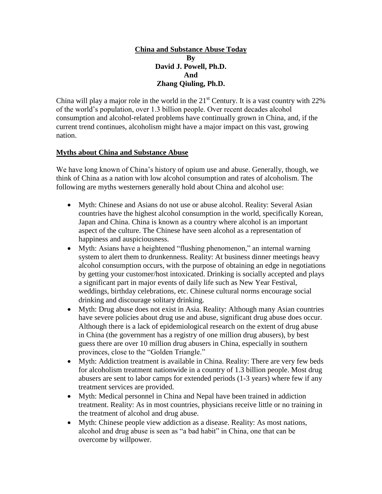#### **China and Substance Abuse Today By David J. Powell, Ph.D. And Zhang Qiuling, Ph.D.**

China will play a major role in the world in the  $21<sup>st</sup>$  Century. It is a vast country with  $22%$ of the world's population, over 1.3 billion people. Over recent decades alcohol consumption and alcohol-related problems have continually grown in China, and, if the current trend continues, alcoholism might have a major impact on this vast, growing nation.

# **Myths about China and Substance Abuse**

We have long known of China's history of opium use and abuse. Generally, though, we think of China as a nation with low alcohol consumption and rates of alcoholism. The following are myths westerners generally hold about China and alcohol use:

- Myth: Chinese and Asians do not use or abuse alcohol. Reality: Several Asian countries have the highest alcohol consumption in the world, specifically Korean, Japan and China. China is known as a country where alcohol is an important aspect of the culture. The Chinese have seen alcohol as a representation of happiness and auspiciousness.
- Myth: Asians have a heightened "flushing phenomenon," an internal warning system to alert them to drunkenness. Reality: At business dinner meetings heavy alcohol consumption occurs, with the purpose of obtaining an edge in negotiations by getting your customer/host intoxicated. Drinking is socially accepted and plays a significant part in major events of daily life such as New Year Festival, weddings, birthday celebrations, etc. Chinese cultural norms encourage social drinking and discourage solitary drinking.
- Myth: Drug abuse does not exist in Asia. Reality: Although many Asian countries have severe policies about drug use and abuse, significant drug abuse does occur. Although there is a lack of epidemiological research on the extent of drug abuse in China (the government has a registry of one million drug abusers), by best guess there are over 10 million drug abusers in China, especially in southern provinces, close to the "Golden Triangle."
- Myth: Addiction treatment is available in China. Reality: There are very few beds for alcoholism treatment nationwide in a country of 1.3 billion people. Most drug abusers are sent to labor camps for extended periods (1-3 years) where few if any treatment services are provided.
- Myth: Medical personnel in China and Nepal have been trained in addiction treatment. Reality: As in most countries, physicians receive little or no training in the treatment of alcohol and drug abuse.
- Myth: Chinese people view addiction as a disease. Reality: As most nations, alcohol and drug abuse is seen as "a bad habit" in China, one that can be overcome by willpower.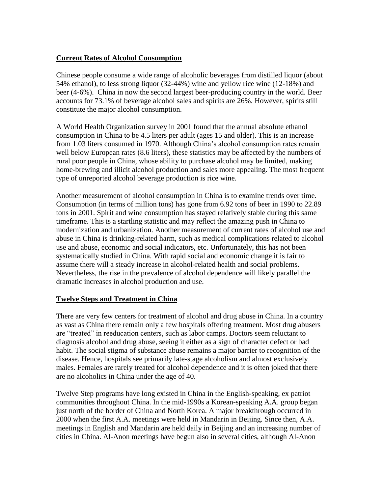## **Current Rates of Alcohol Consumption**

Chinese people consume a wide range of alcoholic beverages from distilled liquor (about 54% ethanol), to less strong liquor (32-44%) wine and yellow rice wine (12-18%) and beer (4-6%). China in now the second largest beer-producing country in the world. Beer accounts for 73.1% of beverage alcohol sales and spirits are 26%. However, spirits still constitute the major alcohol consumption.

A World Health Organization survey in 2001 found that the annual absolute ethanol consumption in China to be 4.5 liters per adult (ages 15 and older). This is an increase from 1.03 liters consumed in 1970. Although China's alcohol consumption rates remain well below European rates (8.6 liters), these statistics may be affected by the numbers of rural poor people in China, whose ability to purchase alcohol may be limited, making home-brewing and illicit alcohol production and sales more appealing. The most frequent type of unreported alcohol beverage production is rice wine.

Another measurement of alcohol consumption in China is to examine trends over time. Consumption (in terms of million tons) has gone from 6.92 tons of beer in 1990 to 22.89 tons in 2001. Spirit and wine consumption has stayed relatively stable during this same timeframe. This is a startling statistic and may reflect the amazing push in China to modernization and urbanization. Another measurement of current rates of alcohol use and abuse in China is drinking-related harm, such as medical complications related to alcohol use and abuse, economic and social indicators, etc. Unfortunately, this has not been systematically studied in China. With rapid social and economic change it is fair to assume there will a steady increase in alcohol-related health and social problems. Nevertheless, the rise in the prevalence of alcohol dependence will likely parallel the dramatic increases in alcohol production and use.

## **Twelve Steps and Treatment in China**

There are very few centers for treatment of alcohol and drug abuse in China. In a country as vast as China there remain only a few hospitals offering treatment. Most drug abusers are "treated" in reeducation centers, such as labor camps. Doctors seem reluctant to diagnosis alcohol and drug abuse, seeing it either as a sign of character defect or bad habit. The social stigma of substance abuse remains a major barrier to recognition of the disease. Hence, hospitals see primarily late-stage alcoholism and almost exclusively males. Females are rarely treated for alcohol dependence and it is often joked that there are no alcoholics in China under the age of 40.

Twelve Step programs have long existed in China in the English-speaking, ex patriot communities throughout China. In the mid-1990s a Korean-speaking A.A. group began just north of the border of China and North Korea. A major breakthrough occurred in 2000 when the first A.A. meetings were held in Mandarin in Beijing. Since then, A.A. meetings in English and Mandarin are held daily in Beijing and an increasing number of cities in China. Al-Anon meetings have begun also in several cities, although Al-Anon